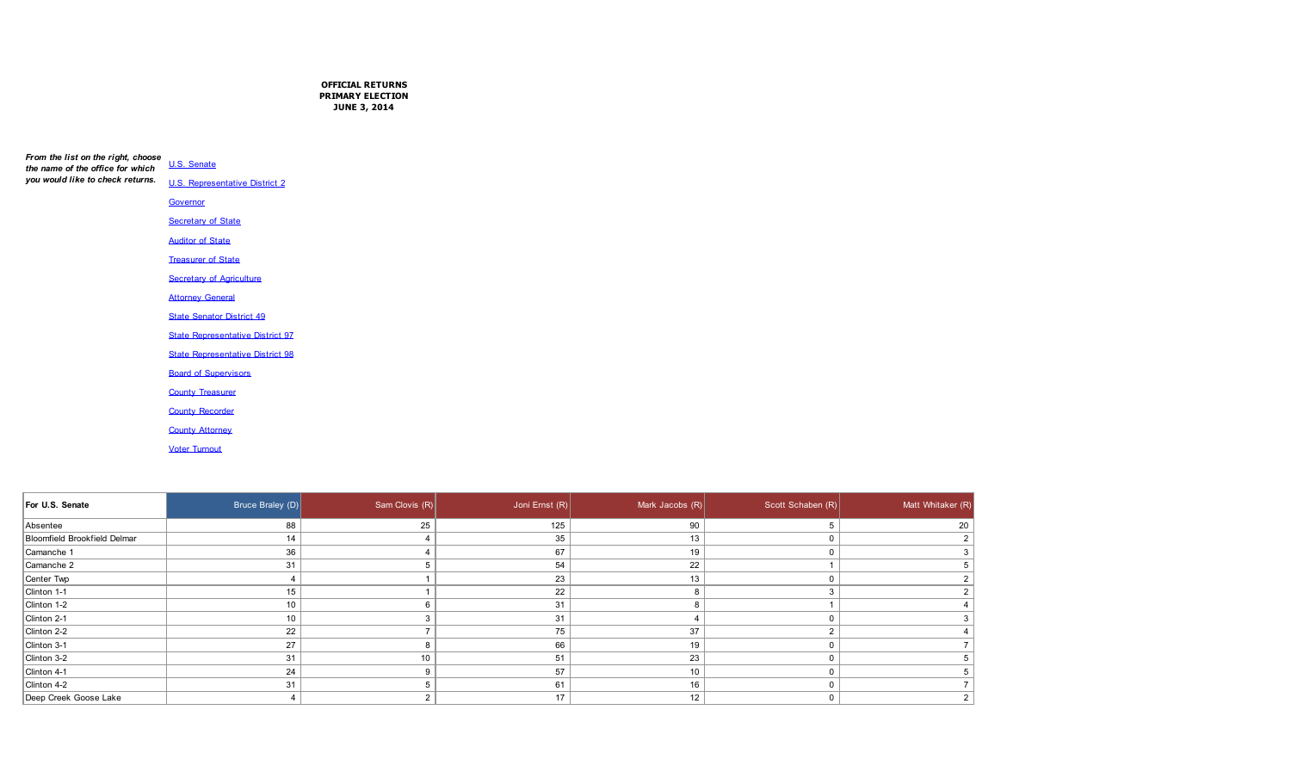**OFFICIAL RETURNS PRIMARY ELECTION JUNE 3, 2014**

| From the list on the right, choose | U.S. Senate                             |
|------------------------------------|-----------------------------------------|
| the name of the office for which   |                                         |
| you would like to check returns.   | <b>U.S. Representative District 2</b>   |
|                                    | Governor                                |
|                                    | <b>Secretary of State</b>               |
|                                    | <b>Auditor of State</b>                 |
|                                    | <b>Treasurer of State</b>               |
|                                    | <b>Secretary of Agriculture</b>         |
|                                    | <b>Attorney General</b>                 |
|                                    | <b>State Senator District 49</b>        |
|                                    | <b>State Representative District 97</b> |
|                                    | <b>State Representative District 98</b> |
|                                    | <b>Board of Supervisors</b>             |
|                                    | <b>County Treasurer</b>                 |
|                                    | <b>County Recorder</b>                  |
|                                    | <b>County Attorney</b>                  |

Voter Turnout

| For U.S. Senate                     | Bruce Braley (D) | Sam Clovis (R) | Joni Ernst (R) | Mark Jacobs (R) | Scott Schaben (R) | Matt Whitaker (R) |
|-------------------------------------|------------------|----------------|----------------|-----------------|-------------------|-------------------|
| Absentee                            | 88               | 25             | 125            | 90              |                   | 20                |
| <b>Bloomfield Brookfield Delmar</b> | 14               |                | 35             | 13              |                   | 2 <sup>1</sup>    |
| Camanche 1                          | 36               |                | 67             | 19              |                   | 3 <sup>1</sup>    |
| Camanche 2                          | 31               |                | 54             | 22              |                   | 5 <sup>1</sup>    |
| Center Twp                          |                  |                | 23             | 13              |                   | 2 <sup>1</sup>    |
| Clinton 1-1                         | 15               |                | 22             |                 |                   | 2 <sup>1</sup>    |
| Clinton 1-2                         | 10               |                | 31             |                 |                   | 4                 |
| Clinton 2-1                         | 10               |                | 31             |                 |                   | 3 <sup>1</sup>    |
| Clinton 2-2                         | 22               |                | 75             | 37              |                   | 4 <sup>1</sup>    |
| Clinton 3-1                         | 27               |                | 66             | 19              |                   | 7 <sup>1</sup>    |
| Clinton 3-2                         | 31               | 10             | 51             | 23              |                   | 5 <sup>1</sup>    |
| Clinton 4-1                         | 24               |                | 57             | 10              |                   |                   |
| Clinton 4-2                         | 31               |                | 61             | 16              |                   | 7 <sup>1</sup>    |
| Deep Creek Goose Lake               |                  |                | 17             | 12              |                   | 2 <sup>1</sup>    |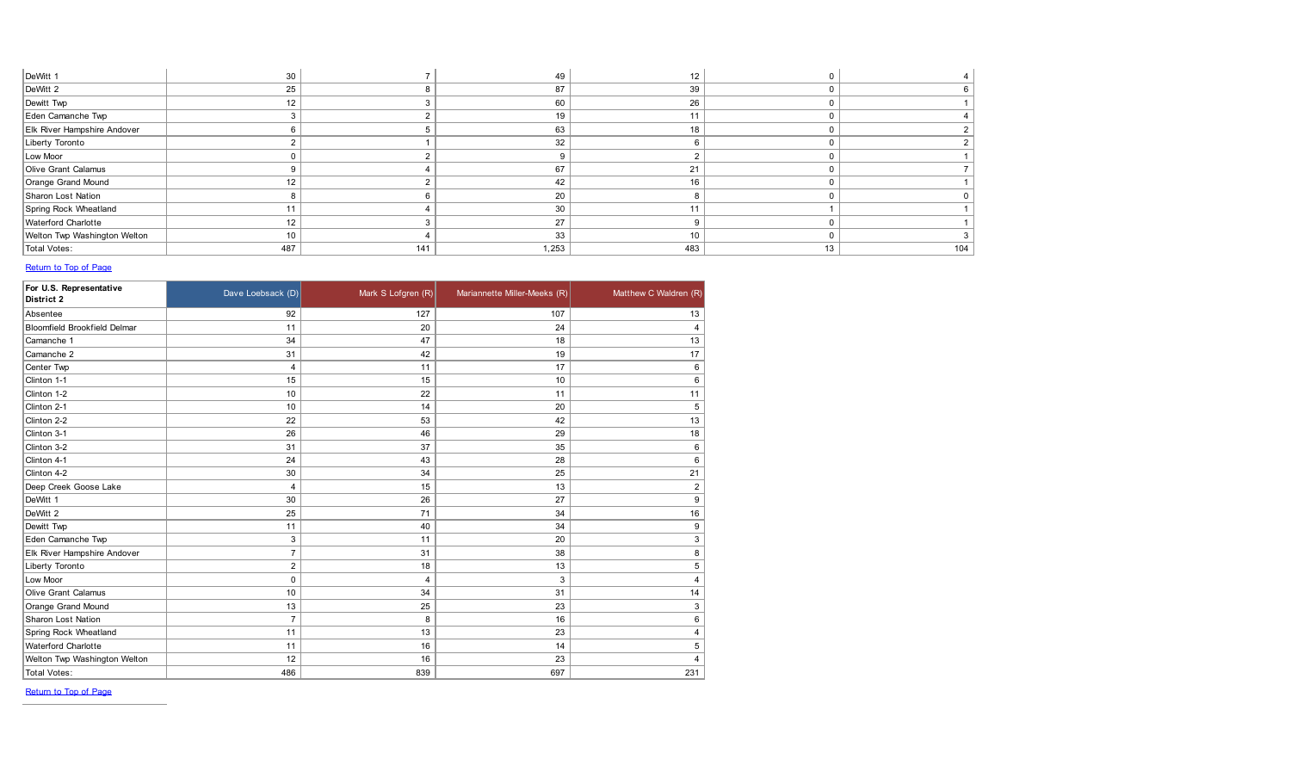| DeWitt 1                     | 30  |     | 49    |     |    |     |
|------------------------------|-----|-----|-------|-----|----|-----|
| DeWitt 2                     | 25  |     | 87    | 39  |    |     |
| Dewitt Twp                   | 12  |     | 60    | 26  |    |     |
| Eden Camanche Twp            |     |     | 19    | 11  |    |     |
| Elk River Hampshire Andover  |     |     | 63    | 18  |    |     |
| Liberty Toronto              |     |     | 32    | 6   |    |     |
| Low Moor                     |     |     |       |     |    |     |
| Olive Grant Calamus          |     |     | 67    | 21  |    |     |
| Orange Grand Mound           | 12  |     | 42    | 16  |    |     |
| Sharon Lost Nation           |     |     | 20    |     |    |     |
| Spring Rock Wheatland        | 11  |     | 30    | 44  |    |     |
| Waterford Charlotte          | 12  |     | 27    | a   |    |     |
| Welton Twp Washington Welton | 10  |     | 33    | 10  |    |     |
| <b>Total Votes:</b>          | 487 | 141 | 1,253 | 483 | 13 | 104 |

| For U.S. Representative<br>District 2 | Dave Loebsack (D) | Mark S Lofgren (R) | Mariannette Miller-Meeks (R) | Matthew C Waldren (R) |
|---------------------------------------|-------------------|--------------------|------------------------------|-----------------------|
| Absentee                              | 92                | 127                | 107                          | 13                    |
| <b>Bloomfield Brookfield Delmar</b>   | 11                | 20                 | 24                           | 4                     |
| Camanche 1                            | 34                | 47                 | 18                           | 13                    |
| Camanche 2                            | 31                | 42                 | 19                           | 17                    |
| Center Twp                            | 4                 | 11                 | 17                           | 6                     |
| Clinton 1-1                           | 15                | 15                 | 10                           | 6                     |
| Clinton 1-2                           | 10                | 22                 | 11                           | 11                    |
| Clinton 2-1                           | 10                | 14                 | 20                           | 5                     |
| Clinton 2-2                           | 22                | 53                 | 42                           | 13                    |
| Clinton 3-1                           | 26                | 46                 | 29                           | 18                    |
| Clinton 3-2                           | 31                | 37                 | 35                           | 6                     |
| Clinton 4-1                           | 24                | 43                 | 28                           | 6                     |
| Clinton 4-2                           | 30                | 34                 | 25                           | 21                    |
| Deep Creek Goose Lake                 | $\overline{4}$    | 15                 | 13                           | $\overline{2}$        |
| DeWitt 1                              | 30                | 26                 | 27                           | 9                     |
| DeWitt 2                              | 25                | 71                 | 34                           | 16                    |
| Dewitt Twp                            | 11                | 40                 | 34                           | 9                     |
| Eden Camanche Twp                     | 3                 | 11                 | 20                           | 3                     |
| Elk River Hampshire Andover           | $\overline{7}$    | 31                 | 38                           | 8                     |
| Liberty Toronto                       | $\overline{2}$    | 18                 | 13                           | 5                     |
| Low Moor                              | $\mathbf 0$       | 4                  | 3                            | 4                     |
| Olive Grant Calamus                   | 10                | 34                 | 31                           | 14                    |
| Orange Grand Mound                    | 13                | 25                 | 23                           | 3                     |
| <b>Sharon Lost Nation</b>             | $\overline{7}$    | 8                  | 16                           | 6                     |
| Spring Rock Wheatland                 | 11                | 13                 | 23                           | 4                     |
| <b>Waterford Charlotte</b>            | 11                | 16                 | 14                           | 5                     |
| Welton Twp Washington Welton          | 12                | 16                 | 23                           | 4                     |
| <b>Total Votes:</b>                   | 486               | 839                | 697                          | 231                   |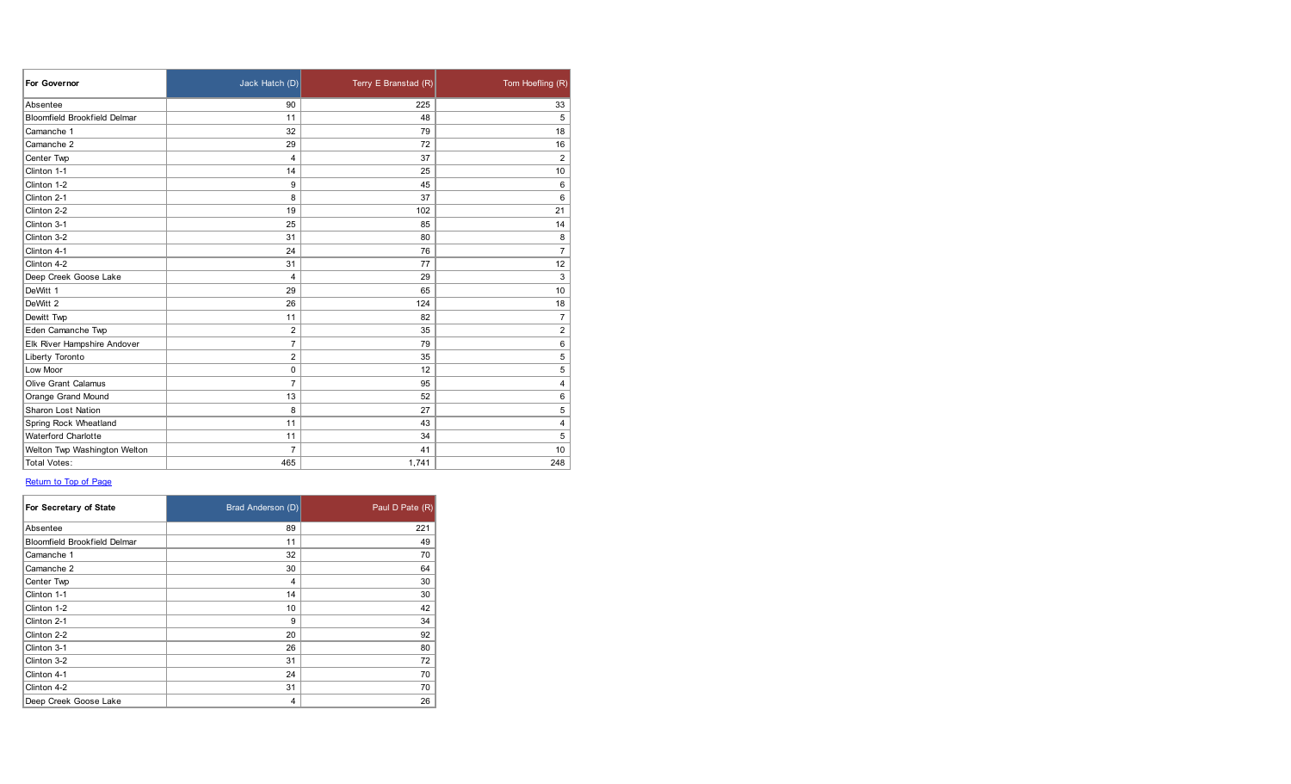| For Governor                        | Jack Hatch (D) | Terry E Branstad (R) | Tom Hoefling (R) |
|-------------------------------------|----------------|----------------------|------------------|
| Absentee                            | 90             | 225                  | 33               |
| <b>Bloomfield Brookfield Delmar</b> | 11             | 48                   | 5                |
| Camanche 1                          | 32             | 79                   | 18               |
| Camanche 2                          | 29             | 72                   | 16               |
| Center Twp                          | 4              | 37                   | $\overline{2}$   |
| Clinton 1-1                         | 14             | 25                   | 10               |
| Clinton 1-2                         | 9              | 45                   | 6                |
| Clinton 2-1                         | 8              | 37                   | 6                |
| Clinton 2-2                         | 19             | 102                  | 21               |
| Clinton 3-1                         | 25             | 85                   | 14               |
| Clinton 3-2                         | 31             | 80                   | 8                |
| Clinton 4-1                         | 24             | 76                   | $\overline{7}$   |
| Clinton 4-2                         | 31             | 77                   | 12               |
| Deep Creek Goose Lake               | 4              | 29                   | 3                |
| DeWitt 1                            | 29             | 65                   | 10               |
| DeWitt 2                            | 26             | 124                  | 18               |
| Dewitt Twp                          | 11             | 82                   | $\overline{7}$   |
| Eden Camanche Twp                   | 2              | 35                   | 2                |
| Elk River Hampshire Andover         | $\overline{7}$ | 79                   | 6                |
| Liberty Toronto                     | 2              | 35                   | 5                |
| Low Moor                            | 0              | 12                   | 5                |
| <b>Olive Grant Calamus</b>          | $\overline{7}$ | 95                   | 4                |
| Orange Grand Mound                  | 13             | 52                   | 6                |
| <b>Sharon Lost Nation</b>           | 8              | 27                   | 5                |
| Spring Rock Wheatland               | 11             | 43                   | 4                |
| <b>Waterford Charlotte</b>          | 11             | 34                   | 5                |
| Welton Twp Washington Welton        | 7              | 41                   | 10               |
| <b>Total Votes:</b>                 | 465            | 1,741                | 248              |

| For Secretary of State              | Brad Anderson (D) | Paul D Pate (R) |
|-------------------------------------|-------------------|-----------------|
| Absentee                            | 89                | 221             |
| <b>Bloomfield Brookfield Delmar</b> | 11                | 49              |
| Camanche 1                          | 32                | 70              |
| Camanche 2                          | 30                | 64              |
| Center Twp                          | 4                 | 30              |
| Clinton 1-1                         | 14                | 30              |
| Clinton 1-2                         | 10                | 42              |
| Clinton 2-1                         | 9                 | 34              |
| Clinton 2-2                         | 20                | 92              |
| Clinton 3-1                         | 26                | 80              |
| Clinton 3-2                         | 31                | 72              |
| Clinton 4-1                         | 24                | 70              |
| Clinton 4-2                         | 31                | 70              |
| Deep Creek Goose Lake               | 4                 | 26              |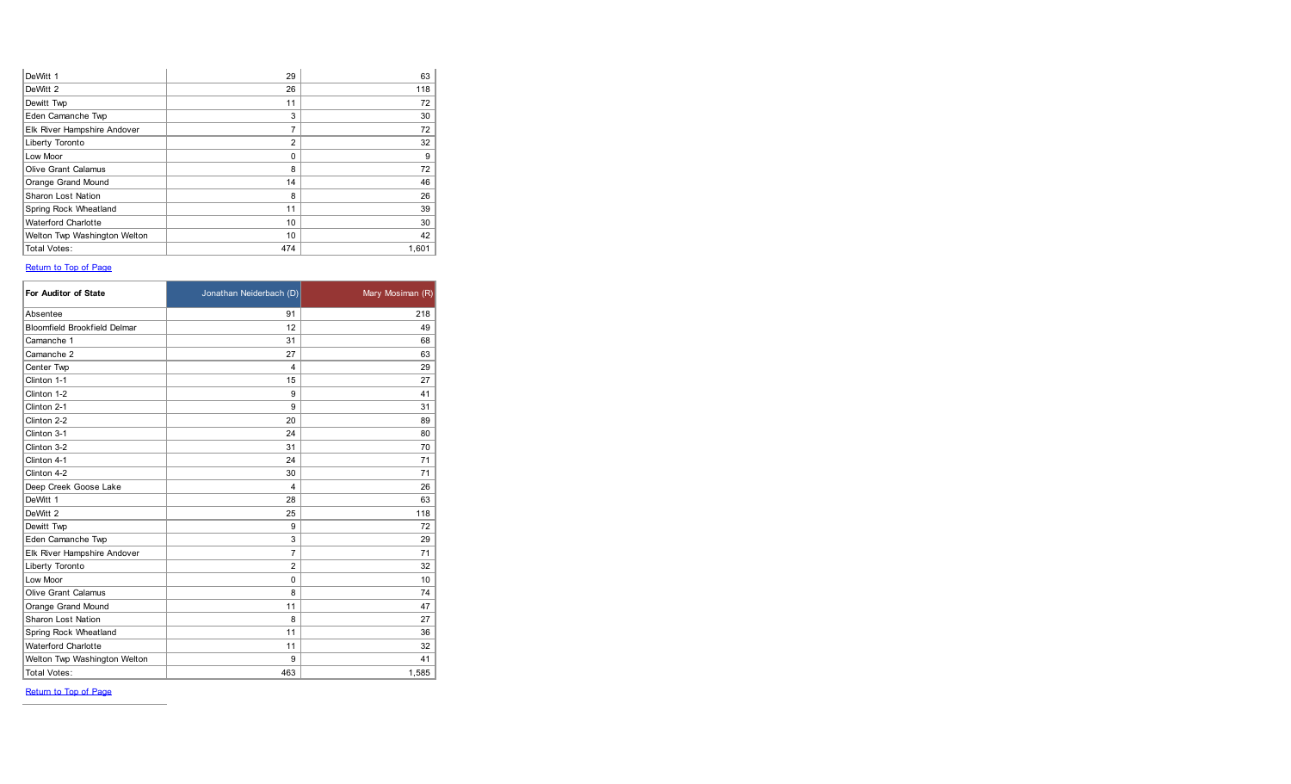| DeWitt 1                     | 29             | 63    |
|------------------------------|----------------|-------|
| DeWitt 2                     | 26             | 118   |
| Dewitt Twp                   | 11             | 72    |
| Eden Camanche Twp            | 3              | 30    |
| Elk River Hampshire Andover  | $\overline{7}$ | 72    |
| Liberty Toronto              | 2              | 32    |
| Low Moor                     | $\Omega$       | 9     |
| <b>Olive Grant Calamus</b>   | 8              | 72    |
| Orange Grand Mound           | 14             | 46    |
| <b>Sharon Lost Nation</b>    | 8              | 26    |
| Spring Rock Wheatland        | 11             | 39    |
| <b>Waterford Charlotte</b>   | 10             | 30    |
| Welton Twp Washington Welton | 10             | 42    |
| <b>Total Votes:</b>          | 474            | 1.601 |

| For Auditor of State                | Jonathan Neiderbach (D) | Mary Mosiman (R) |
|-------------------------------------|-------------------------|------------------|
| Absentee                            | 91                      | 218              |
| <b>Bloomfield Brookfield Delmar</b> | 12                      | 49               |
| Camanche 1                          | 31                      | 68               |
| Camanche 2                          | 27                      | 63               |
| Center Twp                          | 4                       | 29               |
| Clinton 1-1                         | 15                      | 27               |
| Clinton 1-2                         | 9                       | 41               |
| Clinton 2-1                         | 9                       | 31               |
| Clinton 2-2                         | 20                      | 89               |
| Clinton 3-1                         | 24                      | 80               |
| Clinton 3-2                         | 31                      | 70               |
| Clinton 4-1                         | 24                      | 71               |
| Clinton 4-2                         | 30                      | 71               |
| Deep Creek Goose Lake               | $\overline{4}$          | 26               |
| DeWitt 1                            | 28                      | 63               |
| DeWitt 2                            | 25                      | 118              |
| Dewitt Twp                          | 9                       | 72               |
| Eden Camanche Twp                   | 3                       | 29               |
| Elk River Hampshire Andover         | 7                       | 71               |
| Liberty Toronto                     | $\overline{2}$          | 32               |
| Low Moor                            | $\mathbf 0$             | 10               |
| <b>Olive Grant Calamus</b>          | 8                       | 74               |
| Orange Grand Mound                  | 11                      | 47               |
| <b>Sharon Lost Nation</b>           | 8                       | 27               |
| Spring Rock Wheatland               | 11                      | 36               |
| <b>Waterford Charlotte</b>          | 11                      | 32               |
| Welton Twp Washington Welton        | 9                       | 41               |
| <b>Total Votes:</b>                 | 463                     | 1,585            |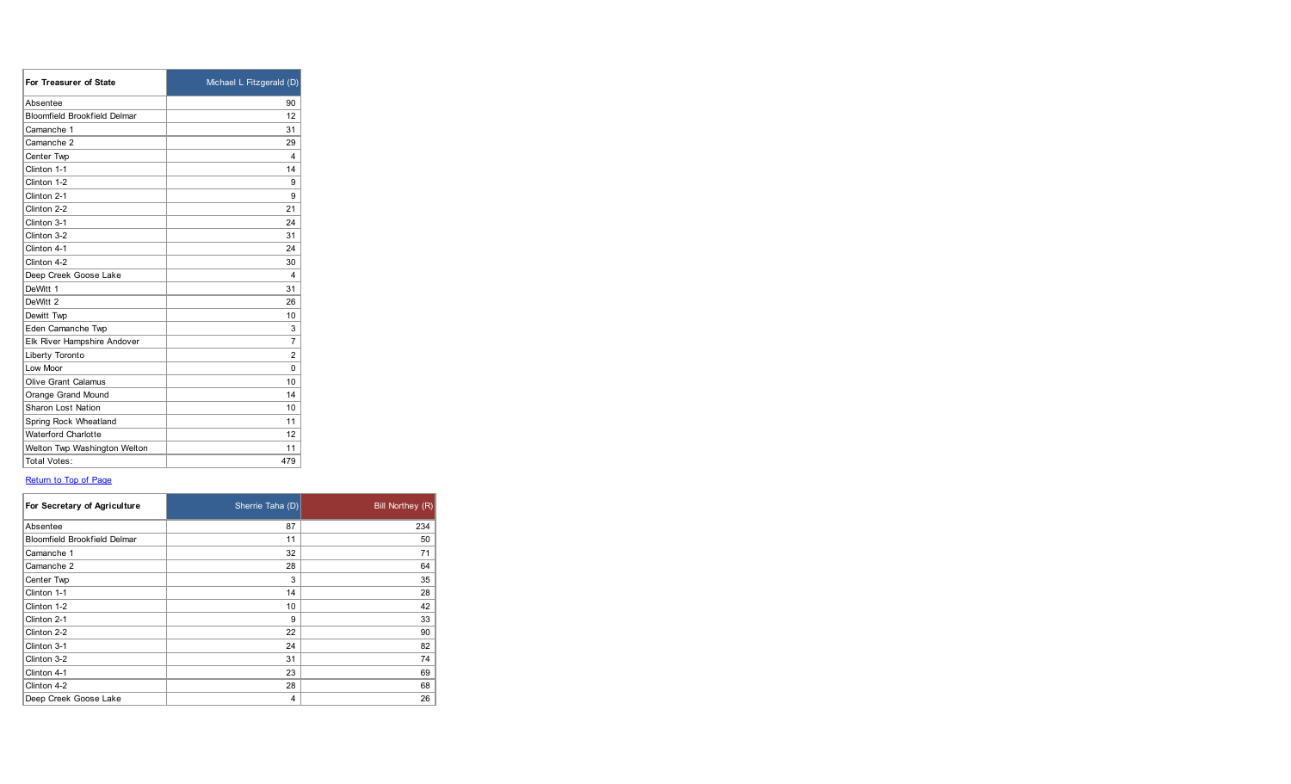| For Treasurer of State              | Michael L Fitzgerald (D) |
|-------------------------------------|--------------------------|
| Absentee                            | 90                       |
| <b>Bloomfield Brookfield Delmar</b> | 12                       |
| Camanche 1                          | 31                       |
| Camanche 2                          | 29                       |
| Center Twp                          | 4                        |
| Clinton 1-1                         | 14                       |
| Clinton 1-2                         | 9                        |
| Clinton 2-1                         | 9                        |
| Clinton 2-2                         | 21                       |
| Clinton 3-1                         | 24                       |
| Clinton 3-2                         | 31                       |
| Clinton 4-1                         | 24                       |
| Clinton 4-2                         | 30                       |
| Deep Creek Goose Lake               | 4                        |
| DeWitt 1                            | 31                       |
| DeWitt <sub>2</sub>                 | 26                       |
| Dewitt Twp                          | 10                       |
| Eden Camanche Twp                   | 3                        |
| Elk River Hampshire Andover         | $\overline{7}$           |
| Liberty Toronto                     | $\overline{2}$           |
| Low Moor                            | $\Omega$                 |
| <b>Olive Grant Calamus</b>          | 10                       |
| Orange Grand Mound                  | 14                       |
| <b>Sharon Lost Nation</b>           | 10                       |
| Spring Rock Wheatland               | 11                       |
| <b>Waterford Charlotte</b>          | 12                       |
| Welton Twp Washington Welton        | 11                       |
| Total Votes:                        | 479                      |

| For Secretary of Agriculture | Sherrie Taha (D) | <b>Bill Northey (R)</b> |
|------------------------------|------------------|-------------------------|
| Absentee                     | 87               | 234                     |
| Bloomfield Brookfield Delmar | 11               | 50                      |
| Camanche 1                   | 32               | 71                      |
| Camanche 2                   | 28               | 64                      |
| Center Twp                   | 3                | 35                      |
| Clinton 1-1                  | 14               | 28                      |
| Clinton 1-2                  | 10               | 42                      |
| Clinton 2-1                  | 9                | 33                      |
| Clinton 2-2                  | 22               | 90                      |
| Clinton 3-1                  | 24               | 82                      |
| Clinton 3-2                  | 31               | 74                      |
| Clinton 4-1                  | 23               | 69                      |
| Clinton 4-2                  | 28               | 68                      |
| Deep Creek Goose Lake        | 4                | 26                      |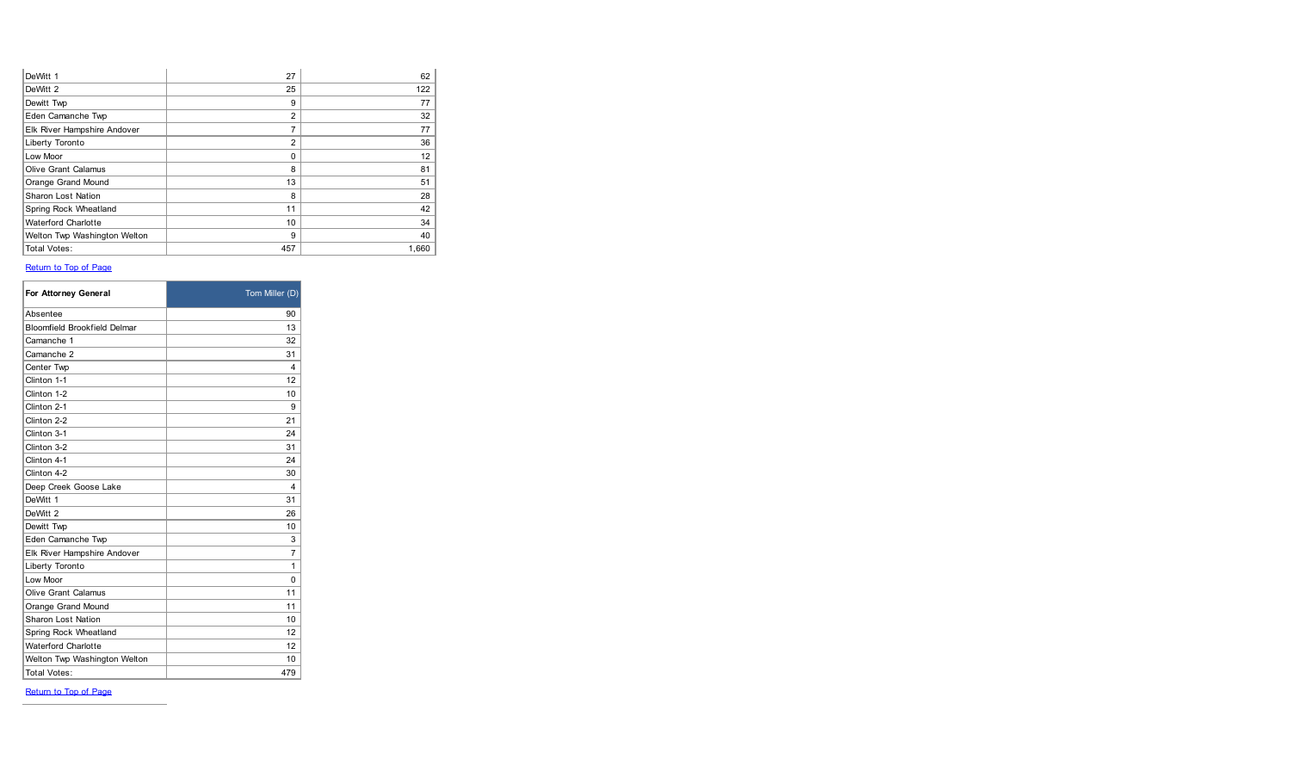| DeWitt 1                     | 27             | 62    |
|------------------------------|----------------|-------|
| DeWitt 2                     | 25             | 122   |
| Dewitt Twp                   | 9              | 77    |
| Eden Camanche Twp            | 2              | 32    |
| Elk River Hampshire Andover  | 7              | 77    |
| Liberty Toronto              | $\overline{2}$ | 36    |
| Low Moor                     | $\Omega$       | 12    |
| <b>Olive Grant Calamus</b>   | 8              | 81    |
| Orange Grand Mound           | 13             | 51    |
| <b>Sharon Lost Nation</b>    | 8              | 28    |
| Spring Rock Wheatland        | 11             | 42    |
| <b>Waterford Charlotte</b>   | 10             | 34    |
| Welton Twp Washington Welton | 9              | 40    |
| <b>Total Votes:</b>          | 457            | 1.660 |

| For Attorney General                | Tom Miller (D) |
|-------------------------------------|----------------|
| Absentee                            | 90             |
| <b>Bloomfield Brookfield Delmar</b> | 13             |
| Camanche 1                          | 32             |
| Camanche 2                          | 31             |
| Center Twp                          | 4              |
| Clinton 1-1                         | 12             |
| Clinton 1-2                         | 10             |
| Clinton 2-1                         | 9              |
| Clinton 2-2                         | 21             |
| Clinton 3-1                         | 24             |
| Clinton 3-2                         | 31             |
| Clinton 4-1                         | 24             |
| Clinton 4-2                         | 30             |
| Deep Creek Goose Lake               | 4              |
| DeWitt 1                            | 31             |
| DeWitt 2                            | 26             |
| Dewitt Twp                          | 10             |
| Eden Camanche Twp                   | 3              |
| Elk River Hampshire Andover         | $\overline{7}$ |
| Liberty Toronto                     | 1              |
| Low Moor                            | $\Omega$       |
| <b>Olive Grant Calamus</b>          | 11             |
| Orange Grand Mound                  | 11             |
| <b>Sharon Lost Nation</b>           | 10             |
| Spring Rock Wheatland               | 12             |
| <b>Waterford Charlotte</b>          | 12             |
| Welton Twp Washington Welton        | 10             |
| Total Votes:                        | 479            |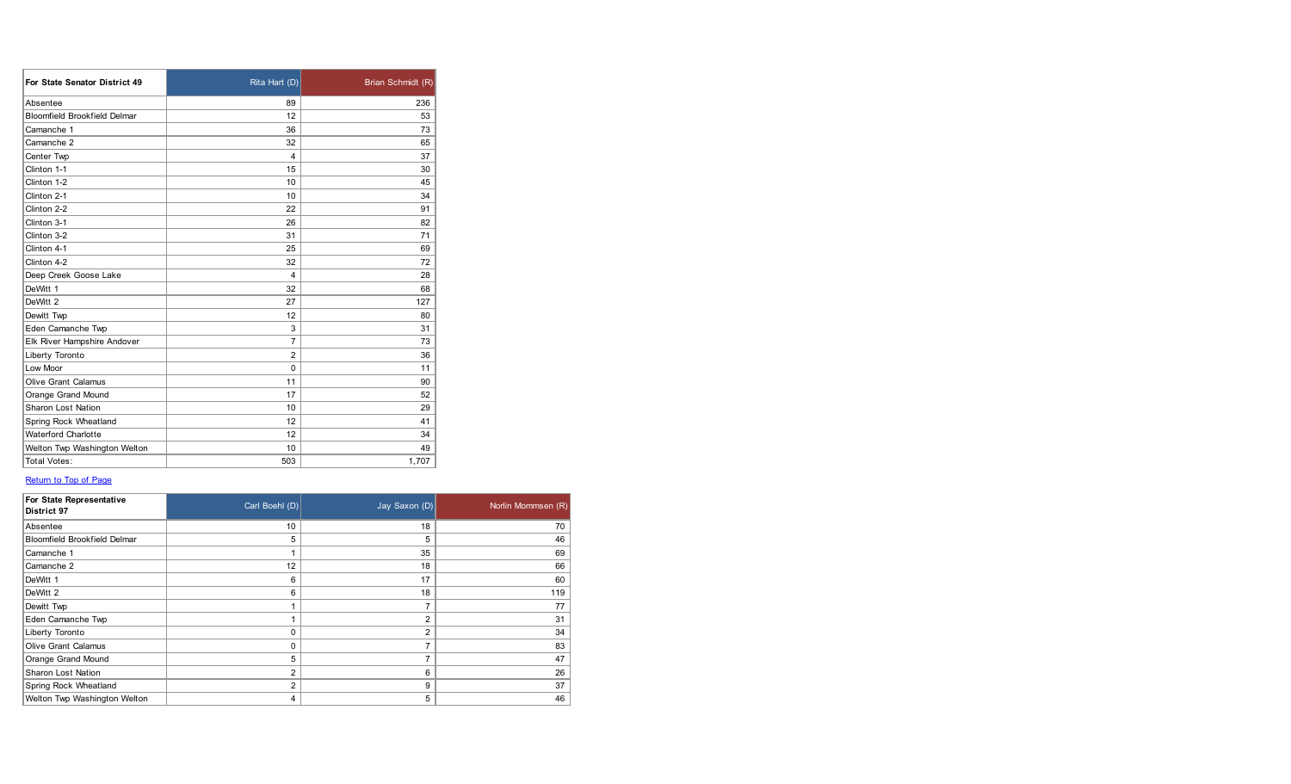| For State Senator District 49       | Rita Hart (D)  | Brian Schmidt (R) |
|-------------------------------------|----------------|-------------------|
| Absentee                            | 89             | 236               |
| <b>Bloomfield Brookfield Delmar</b> | 12             | 53                |
| Camanche 1                          | 36             | 73                |
| Camanche 2                          | 32             | 65                |
| Center Twp                          | 4              | 37                |
| Clinton 1-1                         | 15             | 30                |
| Clinton 1-2                         | 10             | 45                |
| Clinton 2-1                         | 10             | 34                |
| Clinton 2-2                         | 22             | 91                |
| Clinton 3-1                         | 26             | 82                |
| Clinton 3-2                         | 31             | 71                |
| Clinton 4-1                         | 25             | 69                |
| Clinton 4-2                         | 32             | 72                |
| Deep Creek Goose Lake               | 4              | 28                |
| DeWitt 1                            | 32             | 68                |
| DeWitt 2                            | 27             | 127               |
| Dewitt Twp                          | 12             | 80                |
| Eden Camanche Twp                   | 3              | 31                |
| Elk River Hampshire Andover         | 7              | 73                |
| Liberty Toronto                     | $\overline{2}$ | 36                |
| Low Moor                            | $\Omega$       | 11                |
| <b>Olive Grant Calamus</b>          | 11             | 90                |
| Orange Grand Mound                  | 17             | 52                |
| <b>Sharon Lost Nation</b>           | 10             | 29                |
| Spring Rock Wheatland               | 12             | 41                |
| <b>Waterford Charlotte</b>          | 12             | 34                |
| Welton Twp Washington Welton        | 10             | 49                |
| <b>Total Votes:</b>                 | 503            | 1.707             |

| For State Representative<br>District 97 | Carl Boehl (D) | Jay Saxon (D)  | Norlin Mommsen (R) |
|-----------------------------------------|----------------|----------------|--------------------|
| Absentee                                | 10             | 18             | 70                 |
| <b>Bloomfield Brookfield Delmar</b>     | 5              | 5              | 46                 |
| Camanche 1                              | ۸              | 35             | 69                 |
| Camanche 2                              | 12             | 18             | 66                 |
| DeWitt 1                                | 6              | 17             | 60                 |
| DeWitt 2                                | 6              | 18             | 119                |
| Dewitt Twp                              | ٠              |                | 77                 |
| Eden Camanche Twp                       | ٠              | $\overline{2}$ | 31                 |
| Liberty Toronto                         | 0              | 2              | 34                 |
| <b>Olive Grant Calamus</b>              | 0              |                | 83                 |
| Orange Grand Mound                      | 5              |                | 47                 |
| <b>Sharon Lost Nation</b>               | $\overline{2}$ | 6              | 26                 |
| Spring Rock Wheatland                   | 2              | 9              | 37                 |
| Welton Twp Washington Welton            | 4              | 5              | 46                 |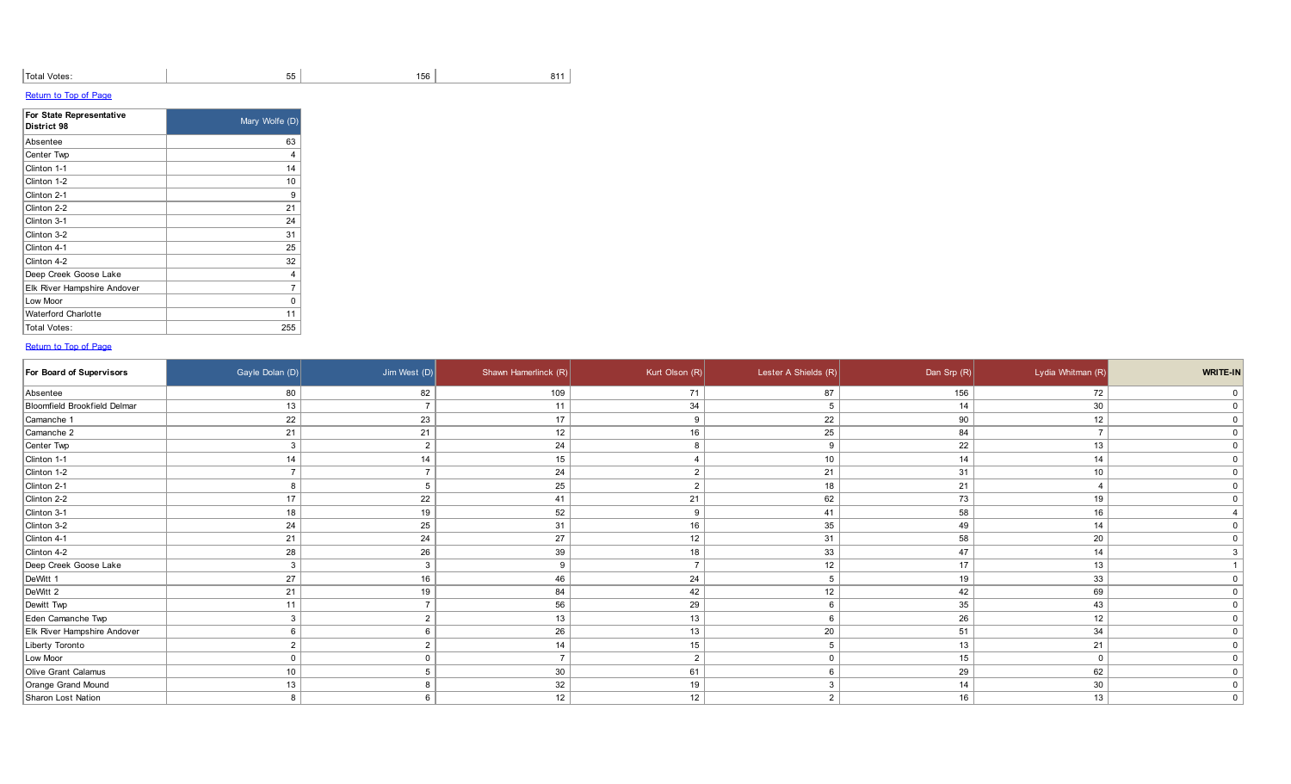| `Total<br>I Votes:<br>. | $ -$<br>יי<br>ັບ | 156 | $  -$ |
|-------------------------|------------------|-----|-------|
|                         |                  |     |       |

| For State Representative<br>District 98 | Mary Wolfe (D) |
|-----------------------------------------|----------------|
| Absentee                                | 63             |
| Center Twp                              | 4              |
| Clinton 1-1                             | 14             |
| Clinton 1-2                             | 10             |
| Clinton 2-1                             | 9              |
| Clinton 2-2                             | 21             |
| Clinton 3-1                             | 24             |
| Clinton 3-2                             | 31             |
| Clinton 4-1                             | 25             |
| Clinton 4-2                             | 32             |
| Deep Creek Goose Lake                   | 4              |
| Elk River Hampshire Andover             | 7              |
| Low Moor                                | O              |
| <b>Waterford Charlotte</b>              | 11             |
| Total Votes:                            | 255            |

| For Board of Supervisors     | Gayle Dolan (D) | Jim West $(D)$ | Shawn Hamerlinck (R) | Kurt Olson $(R)$ | Lester A Shields (R) | Dan Srp $(R)$ | Lydia Whitman (R) | WRITE-IN    |
|------------------------------|-----------------|----------------|----------------------|------------------|----------------------|---------------|-------------------|-------------|
| Absentee                     | 80              | 82             | 109                  | 71               | 87                   | 156           | 72                | $\mathbf 0$ |
| Bloomfield Brookfield Delmar | 13              | $\overline{7}$ | 11                   | 34               |                      | 14            | 30                | $\Omega$    |
| Camanche 1                   | 22              | 23             | 17                   | q                | 22                   | 90            | 12                |             |
| Camanche 2                   | 21              | 21             | 12                   | 16               | 25                   | 84            |                   |             |
| Center Twp                   | 3               | $\overline{2}$ | 24                   | 8                | 9                    | 22            | 13                |             |
| Clinton 1-1                  | 14              | 14             | 15                   |                  | 10                   | 14            | 14                |             |
| Clinton 1-2                  | $\rightarrow$   | $\overline{7}$ | 24                   |                  | 21                   | 31            | 10                |             |
| Clinton 2-1                  | 8               | 5              | 25                   | $\Omega$         | 18                   | 21            |                   |             |
| Clinton 2-2                  | 17              | 22             | 41                   | 21               | 62                   | 73            | 19                |             |
| Clinton 3-1                  | 18              | 19             | 52                   | 9                | 41                   | 58            | 16                |             |
| Clinton 3-2                  | 24              | 25             | 31                   | 16               | 35                   | 49            | 14                |             |
| Clinton 4-1                  | 21              | 24             | 27                   | 12               | 31                   | 58            | 20                |             |
| Clinton 4-2                  | 28              | 26             | 39                   | 18               | 33                   | 47            | 14                |             |
| Deep Creek Goose Lake        | 3               | $\mathbf{3}$   |                      |                  | 12                   | 17            | 13                |             |
| DeWitt 1                     | 27              | 16             | 46                   | 24               |                      | 19            | 33                |             |
| DeWitt 2                     | 21              | 19             | 84                   | 42               | 12                   | 42            | 69                |             |
| Dewitt Twp                   | 11              | $\overline{7}$ | 56                   | 29               |                      | 35            | 43                |             |
| Eden Camanche Twp            |                 | $\overline{2}$ | 13                   | 13               |                      | 26            | 12                |             |
| Elk River Hampshire Andover  |                 |                | 26                   | 13               | 20                   | 51            | 34                |             |
| Liberty Toronto              |                 | $\overline{2}$ | 14                   | 15               |                      | 13            | 21                |             |
| Low Moor                     | $\mathbf{0}$    | $\Omega$       |                      | $\overline{2}$   |                      | 15            | $\Omega$          |             |
| Olive Grant Calamus          | 10              | 5              | 30                   | 61               |                      | 29            | 62                |             |
| Orange Grand Mound           | 13              | 8              | 32                   | 19               |                      | 14            | 30                |             |
| Sharon Lost Nation           | 8               | 6              | 12                   | 12               | $\Omega$             | 16            | 13                |             |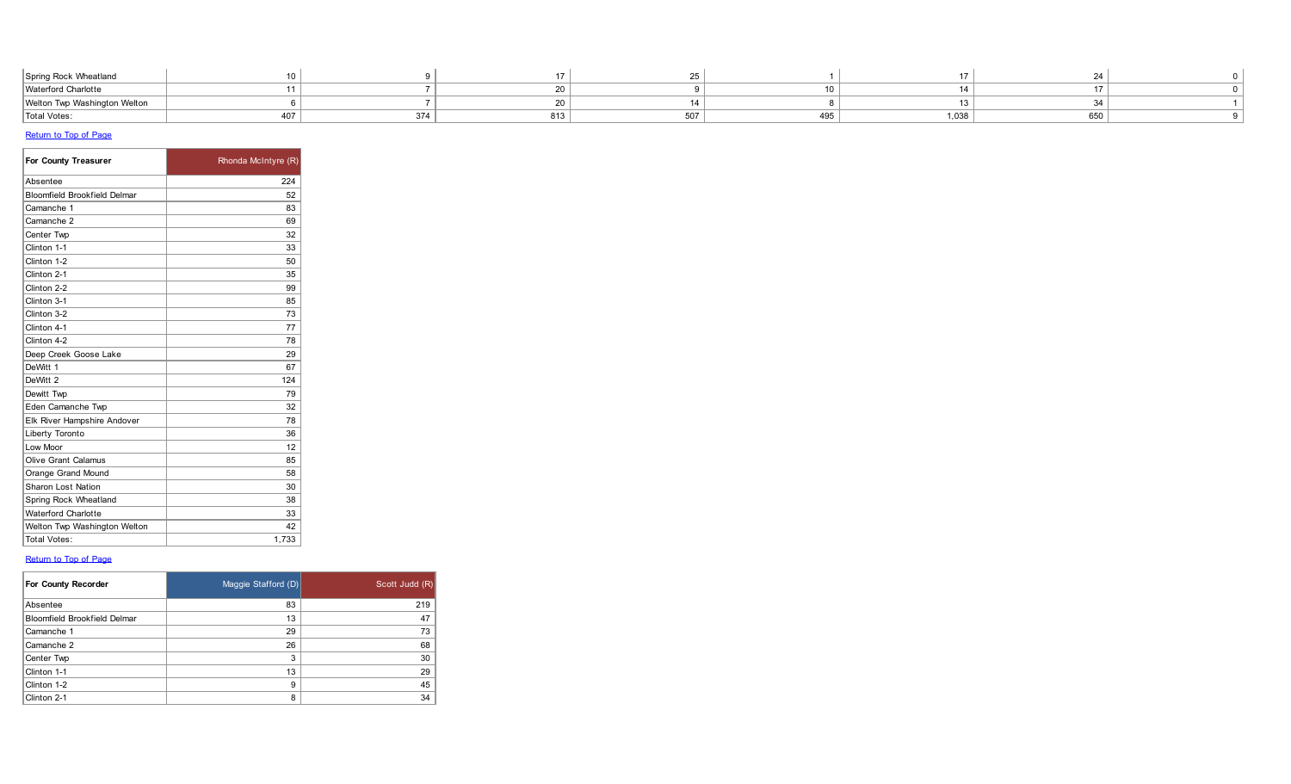| Waterford Charlotte                                       |                  |  |  |  |                              |
|-----------------------------------------------------------|------------------|--|--|--|------------------------------|
|                                                           |                  |  |  |  |                              |
|                                                           |                  |  |  |  | Welton Twp Washington Welton |
| 1.038<br>---<br><b>Total Votes:</b><br>495<br>3/4<br>ו טע | <b>CE</b><br>υuι |  |  |  |                              |

| For County Treasurer                | Rhonda McIntyre (R) |
|-------------------------------------|---------------------|
| Absentee                            | 224                 |
| <b>Bloomfield Brookfield Delmar</b> | 52                  |
| Camanche 1                          | 83                  |
| Camanche 2                          | 69                  |
| Center Twp                          | 32                  |
| Clinton 1-1                         | 33                  |
| Clinton 1-2                         | 50                  |
| Clinton 2-1                         | 35                  |
| Clinton 2-2                         | 99                  |
| Clinton 3-1                         | 85                  |
| Clinton 3-2                         | 73                  |
| Clinton 4-1                         | 77                  |
| Clinton 4-2                         | 78                  |
| Deep Creek Goose Lake               | 29                  |
| DeWitt 1                            | 67                  |
| DeWitt 2                            | 124                 |
| Dewitt Twp                          | 79                  |
| Eden Camanche Twp                   | 32                  |
| Elk River Hampshire Andover         | 78                  |
| Liberty Toronto                     | 36                  |
| Low Moor                            | 12                  |
| <b>Olive Grant Calamus</b>          | 85                  |
| Orange Grand Mound                  | 58                  |
| <b>Sharon Lost Nation</b>           | 30                  |
| Spring Rock Wheatland               | 38                  |
| <b>Waterford Charlotte</b>          | 33                  |
| Welton Twp Washington Welton        | 42                  |
| <b>Total Votes:</b>                 | 1.733               |

| For County Recorder                 | Maggie Stafford (D) | Scott Judd (R) |
|-------------------------------------|---------------------|----------------|
| Absentee                            | 83                  | 219            |
| <b>Bloomfield Brookfield Delmar</b> | 13                  | 47             |
| Camanche 1                          | 29                  | 73             |
| Camanche 2                          | 26                  | 68             |
| Center Twp                          | 3                   | 30             |
| Clinton 1-1                         | 13                  | 29             |
| Clinton 1-2                         | 9                   | 45             |
| Clinton 2-1                         | 8                   | 34             |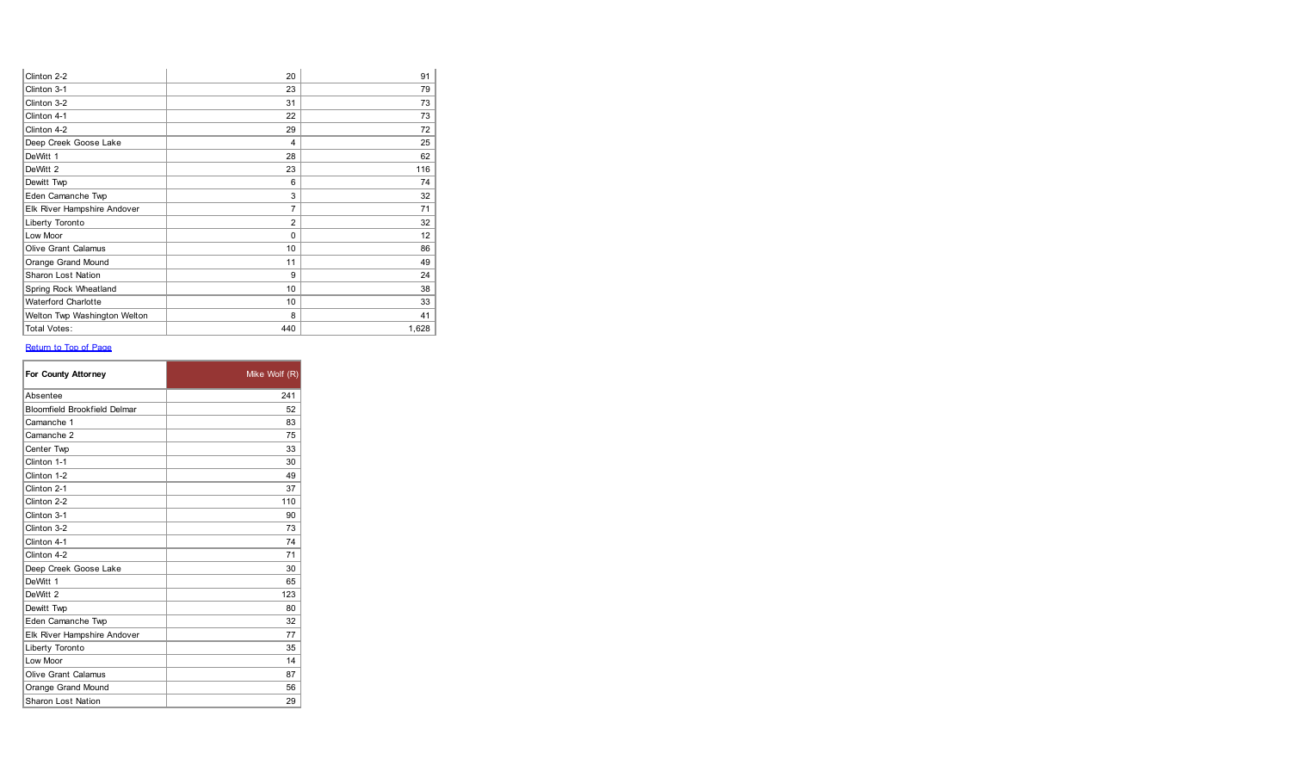| Clinton 2-2                  | 20             | 91    |
|------------------------------|----------------|-------|
| Clinton 3-1                  | 23             | 79    |
| Clinton 3-2                  | 31             | 73    |
| Clinton 4-1                  | 22             | 73    |
| Clinton 4-2                  | 29             | 72    |
| Deep Creek Goose Lake        | 4              | 25    |
| DeWitt 1                     | 28             | 62    |
| DeWitt 2                     | 23             | 116   |
| Dewitt Twp                   | 6              | 74    |
| Eden Camanche Twp            | 3              | 32    |
| Elk River Hampshire Andover  | $\overline{7}$ | 71    |
| Liberty Toronto              | $\overline{2}$ | 32    |
| Low Moor                     | $\Omega$       | 12    |
| <b>Olive Grant Calamus</b>   | 10             | 86    |
| Orange Grand Mound           | 11             | 49    |
| <b>Sharon Lost Nation</b>    | 9              | 24    |
| Spring Rock Wheatland        | 10             | 38    |
| <b>Waterford Charlotte</b>   | 10             | 33    |
| Welton Twp Washington Welton | 8              | 41    |
| <b>Total Votes:</b>          | 440            | 1,628 |

| For County Attorney                 | Mike Wolf (R) |
|-------------------------------------|---------------|
| Absentee                            | 241           |
| <b>Bloomfield Brookfield Delmar</b> | 52            |
| Camanche 1                          | 83            |
| Camanche 2                          | 75            |
| Center Twp                          | 33            |
| Clinton 1-1                         | 30            |
| Clinton 1-2                         | 49            |
| Clinton 2-1                         | 37            |
| Clinton 2-2                         | 110           |
| Clinton 3-1                         | 90            |
| Clinton 3-2                         | 73            |
| Clinton 4-1                         | 74            |
| Clinton 4-2                         | 71            |
| Deep Creek Goose Lake               | 30            |
| DeWitt 1                            | 65            |
| DeWitt 2                            | 123           |
| Dewitt Twp                          | 80            |
| Eden Camanche Twp                   | 32            |
| Elk River Hampshire Andover         | 77            |
| Liberty Toronto                     | 35            |
| Low Moor                            | 14            |
| Olive Grant Calamus                 | 87            |
| Orange Grand Mound                  | 56            |
| Sharon Lost Nation                  | 29            |